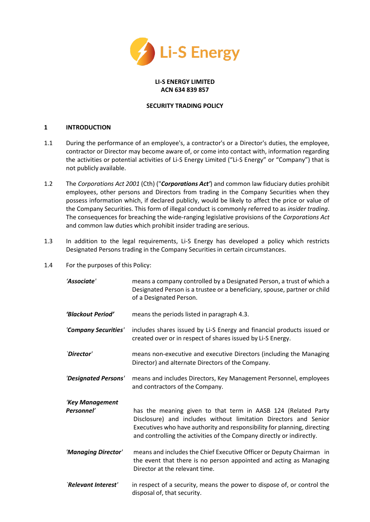

# **LI-S ENERGY LIMITED ACN 634 839 857**

### **SECURITY TRADING POLICY**

### **1 INTRODUCTION**

- 1.1 During the performance of an employee's, a contractor's or a Director's duties, the employee, contractor or Director may become aware of, or come into contact with, information regarding the activities or potential activities of Li-S Energy Limited ("Li-S Energy" or "Company") that is not publicly available.
- 1.2 The *Corporations Act 2001* (Cth) ("*Corporations Act'*) and common law fiduciary duties prohibit employees, other persons and Directors from trading in the Company Securities when they possess information which, if declared publicly, would be likely to affect the price or value of the Company Securities. This form of illegal conduct is commonly referred to as *insider trading*. The consequences for breaching the wide-ranging legislative provisions of the *Corporations Act*  and common law duties which prohibit insider trading are serious.
- 1.3 In addition to the legal requirements, Li-S Energy has developed a policy which restricts Designated Persons trading in the Company Securities in certain circumstances.
- 1.4 For the purposes of this Policy:

| 'Associate'                   | means a company controlled by a Designated Person, a trust of which a<br>Designated Person is a trustee or a beneficiary, spouse, partner or child<br>of a Designated Person.                                                                                                          |
|-------------------------------|----------------------------------------------------------------------------------------------------------------------------------------------------------------------------------------------------------------------------------------------------------------------------------------|
| 'Blackout Period'             | means the periods listed in paragraph 4.3.                                                                                                                                                                                                                                             |
| 'Company Securities'          | includes shares issued by Li-S Energy and financial products issued or<br>created over or in respect of shares issued by Li-S Energy.                                                                                                                                                  |
| `Director'                    | means non-executive and executive Directors (including the Managing<br>Director) and alternate Directors of the Company.                                                                                                                                                               |
| 'Designated Persons'          | means and includes Directors, Key Management Personnel, employees<br>and contractors of the Company.                                                                                                                                                                                   |
| 'Key Management<br>Personnel' | has the meaning given to that term in AASB 124 (Related Party<br>Disclosure) and includes without limitation Directors and Senior<br>Executives who have authority and responsibility for planning, directing<br>and controlling the activities of the Company directly or indirectly. |
| 'Managing Director'           | means and includes the Chief Executive Officer or Deputy Chairman in<br>the event that there is no person appointed and acting as Managing<br>Director at the relevant time.                                                                                                           |
| `Relevant Interest'           | in respect of a security, means the power to dispose of, or control the<br>disposal of, that security.                                                                                                                                                                                 |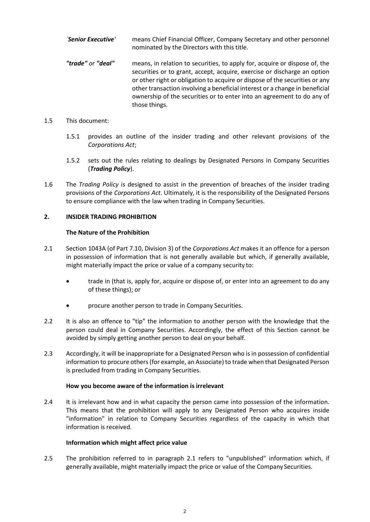- *`Senior Executive'* means Chief Financial Officer, Company Secretary and other personnel nominated by the Directors with this title. *"trade" or "deal"* means, in relation to securities, to apply for, acquire or dispose of, the
	- securities or to grant, accept, acquire, exercise or discharge an option or other right or obligation to acquire or dispose of the securities or any other transaction involving a beneficial interest or a change in beneficial ownership of the securities or to enter into an agreement to do any of those things.
- 1.5 This document:
	- 1.5.1 provides an outline of the insider trading and other relevant provisions of the *Corporations Act*;
	- 1.5.2 sets out the rules relating to dealings by Designated Persons in Company Securities (*Trading Policy*).
- 1.6 The *Trading Policy* is designed to assist in the prevention of breaches of the insider trading provisions of the *Corporations Act*. Ultimately, it is the responsibility of the Designated Persons to ensure compliance with the law when trading in Company Securities.

# **2. INSIDER TRADING PROHIBITION**

# **The Nature of the Prohibition**

- 2.1 Section 1043A (of Part 7.10, Division 3) of the *Corporations Act* makes it an offence for a person in possession of information that is not generally available but which, if generally available, might materially impact the price or value of a company security to:
	- trade in (that is, apply for, acquire or dispose of, or enter into an agreement to do any of these things); or
	- procure another person to trade in Company Securities.
- 2.2 It is also an offence to "tip" the information to another person with the knowledge that the person could deal in Company Securities. Accordingly, the effect of this Section cannot be avoided by simply getting another person to deal on your behalf.
- 2.3 Accordingly, it will be inappropriate for a Designated Person who is in possession of confidential information to procure others (for example, an Associate) to trade when that Designated Person is precluded from trading in Company Securities.

# **How you become aware of the information is irrelevant**

2.4 It is irrelevant how and in what capacity the person came into possession of the information. This means that the prohibition will apply to any Designated Person who acquires inside "information" in relation to Company Securities regardless of the capacity in which that information is received.

# **Information which might affect price value**

2.5 The prohibition referred to in paragraph 2.1 refers to "unpublished" information which, if generally available, might materially impact the price or value of the Company Securities.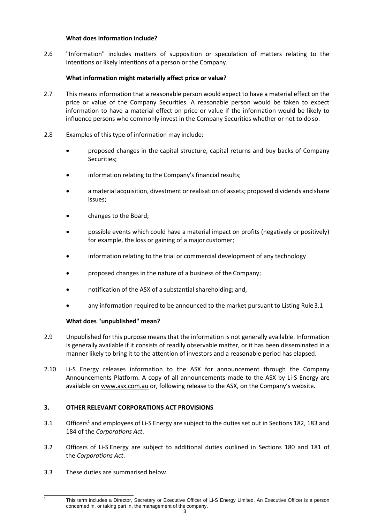### **What does information include?**

2.6 "Information" includes matters of supposition or speculation of matters relating to the intentions or likely intentions of a person or the Company.

## **What information might materially affect price or value?**

- 2.7 This means information that a reasonable person would expect to have a material effect on the price or value of the Company Securities. A reasonable person would be taken to expect information to have a material effect on price or value if the information would be likely to influence persons who commonly invest in the Company Securities whether or not to do so.
- 2.8 Examples of this type of information may include:
	- proposed changes in the capital structure, capital returns and buy backs of Company Securities;
	- information relating to the Company's financial results;
	- a material acquisition, divestment or realisation of assets; proposed dividends and share issues;
	- changes to the Board;
	- possible events which could have a material impact on profits (negatively or positively) for example, the loss or gaining of a major customer;
	- information relating to the trial or commercial development of any technology
	- proposed changes in the nature of a business of the Company;
	- notification of the ASX of a substantial shareholding; and,
	- any information required to be announced to the market pursuant to Listing Rule3.1

### **What does "unpublished" mean?**

- 2.9 Unpublished for this purpose means that the information is not generally available. Information is generally available if it consists of readily observable matter, or it has been disseminated in a manner likely to bring it to the attention of investors and a reasonable period has elapsed.
- 2.10 Li-S Energy releases information to the ASX for announcement through the Company Announcements Platform. A copy of all announcements made to the ASX by Li-S Energy are available o[n www.asx.com.au](http://www.asx.com.au/) or, following release to the ASX, on the Company's website.

# **3. OTHER RELEVANT CORPORATIONS ACT PROVISIONS**

- 3.1 Officer[s](#page-2-0)<sup>1</sup> and employees of Li-S Energy are subject to the duties set out in Sections 182, 183 and 184 of the *Corporations Act*.
- 3.2 Officers of Li-S Energy are subject to additional duties outlined in Sections 180 and 181 of the *Corporations Act*.
- 3.3 These duties are summarised below.

<span id="page-2-0"></span>1

This term includes a Director, Secretary or Executive Officer of Li-S Energy Limited. An Executive Officer is a person concerned in, or taking part in, the management of the company.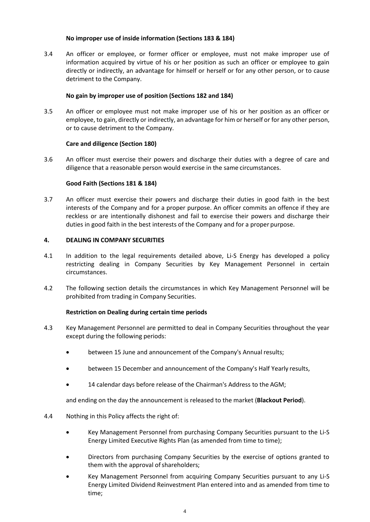### **No improper use of inside information (Sections 183 & 184)**

3.4 An officer or employee, or former officer or employee, must not make improper use of information acquired by virtue of his or her position as such an officer or employee to gain directly or indirectly, an advantage for himself or herself or for any other person, or to cause detriment to the Company.

## **No gain by improper use of position (Sections 182 and 184)**

3.5 An officer or employee must not make improper use of his or her position as an officer or employee, to gain, directly or indirectly, an advantage for him or herself or for any other person, or to cause detriment to the Company.

### **Care and diligence (Section 180)**

3.6 An officer must exercise their powers and discharge their duties with a degree of care and diligence that a reasonable person would exercise in the same circumstances.

### **Good Faith (Sections 181 & 184)**

3.7 An officer must exercise their powers and discharge their duties in good faith in the best interests of the Company and for a proper purpose. An officer commits an offence if they are reckless or are intentionally dishonest and fail to exercise their powers and discharge their duties in good faith in the best interests of the Company and for a proper purpose.

### **4. DEALING IN COMPANY SECURITIES**

- 4.1 In addition to the legal requirements detailed above, Li-S Energy has developed a policy restricting dealing in Company Securities by Key Management Personnel in certain circumstances.
- 4.2 The following section details the circumstances in which Key Management Personnel will be prohibited from trading in Company Securities.

### **Restriction on Dealing during certain time periods**

- 4.3 Key Management Personnel are permitted to deal in Company Securities throughout the year except during the following periods:
	- between 15 June and announcement of the Company's Annual results;
	- between 15 December and announcement of the Company's Half Yearly results,
	- 14 calendar days before release of the Chairman's Address to the AGM;

and ending on the day the announcement is released to the market (**Blackout Period**).

### 4.4 Nothing in this Policy affects the right of:

- Key Management Personnel from purchasing Company Securities pursuant to the Li-S Energy Limited Executive Rights Plan (as amended from time to time);
- Directors from purchasing Company Securities by the exercise of options granted to them with the approval of shareholders;
- Key Management Personnel from acquiring Company Securities pursuant to any Li-S Energy Limited Dividend Reinvestment Plan entered into and as amended from time to time;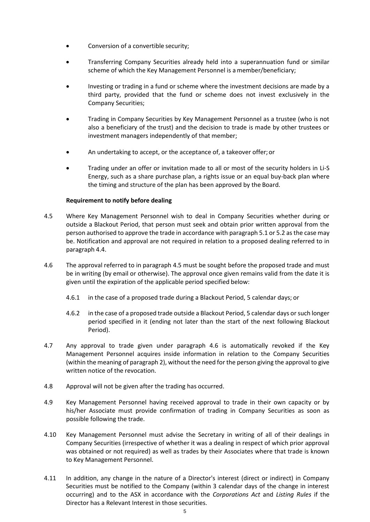- Conversion of a convertible security;
- Transferring Company Securities already held into a superannuation fund or similar scheme of which the Key Management Personnel is amember/beneficiary;
- Investing or trading in a fund or scheme where the investment decisions are made by a third party, provided that the fund or scheme does not invest exclusively in the Company Securities;
- Trading in Company Securities by Key Management Personnel as a trustee (who is not also a beneficiary of the trust) and the decision to trade is made by other trustees or investment managers independently of that member;
- An undertaking to accept, or the acceptance of, a takeover offer;or
- Trading under an offer or invitation made to all or most of the security holders in Li-S Energy, such as a share purchase plan, a rights issue or an equal buy-back plan where the timing and structure of the plan has been approved by the Board.

### **Requirement to notify before dealing**

- 4.5 Where Key Management Personnel wish to deal in Company Securities whether during or outside a Blackout Period, that person must seek and obtain prior written approval from the person authorised to approve the trade in accordance with paragraph 5.1 or 5.2 as the case may be. Notification and approval are not required in relation to a proposed dealing referred to in paragraph 4.4.
- 4.6 The approval referred to in paragraph 4.5 must be sought before the proposed trade and must be in writing (by email or otherwise). The approval once given remains valid from the date it is given until the expiration of the applicable period specified below:
	- 4.6.1 in the case of a proposed trade during a Blackout Period, 5 calendar days; or
	- 4.6.2 in the case of a proposed trade outside a Blackout Period, 5 calendar days or such longer period specified in it (ending not later than the start of the next following Blackout Period).
- 4.7 Any approval to trade given under paragraph 4.6 is automatically revoked if the Key Management Personnel acquires inside information in relation to the Company Securities (within the meaning of paragraph 2), without the need for the person giving the approval to give written notice of the revocation.
- 4.8 Approval will not be given after the trading has occurred.
- 4.9 Key Management Personnel having received approval to trade in their own capacity or by his/her Associate must provide confirmation of trading in Company Securities as soon as possible following the trade.
- 4.10 Key Management Personnel must advise the Secretary in writing of all of their dealings in Company Securities (irrespective of whether it was a dealing in respect of which prior approval was obtained or not required) as well as trades by their Associates where that trade is known to Key Management Personnel.
- 4.11 In addition, any change in the nature of a Director's interest (direct or indirect) in Company Securities must be notified to the Company (within 3 calendar days of the change in interest occurring) and to the ASX in accordance with the *Corporations Act* and *Listing Rules* if the Director has a Relevant Interest in those securities.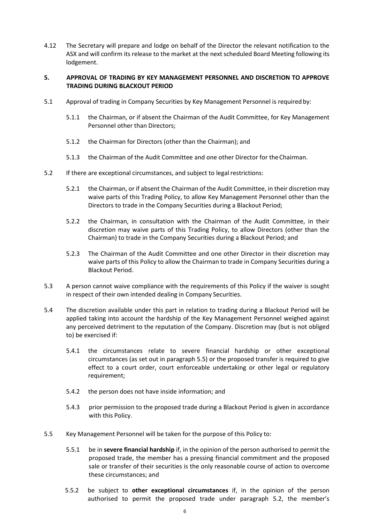4.12 The Secretary will prepare and lodge on behalf of the Director the relevant notification to the ASX and will confirm its release to the market at the next scheduled Board Meeting following its lodgement.

### **5. APPROVAL OF TRADING BY KEY MANAGEMENT PERSONNEL AND DISCRETION TO APPROVE TRADING DURING BLACKOUT PERIOD**

- 5.1 Approval of trading in Company Securities by Key Management Personnel is required by:
	- 5.1.1 the Chairman, or if absent the Chairman of the Audit Committee, for Key Management Personnel other than Directors;
	- 5.1.2 the Chairman for Directors (other than the Chairman); and
	- 5.1.3 the Chairman of the Audit Committee and one other Director for theChairman.
- 5.2 If there are exceptional circumstances, and subject to legal restrictions:
	- 5.2.1 the Chairman, or if absent the Chairman of the Audit Committee, in their discretion may waive parts of this Trading Policy, to allow Key Management Personnel other than the Directors to trade in the Company Securities during a Blackout Period;
	- 5.2.2 the Chairman, in consultation with the Chairman of the Audit Committee, in their discretion may waive parts of this Trading Policy, to allow Directors (other than the Chairman) to trade in the Company Securities during a Blackout Period; and
	- 5.2.3 The Chairman of the Audit Committee and one other Director in their discretion may waive parts of this Policy to allow the Chairman to trade in Company Securities during a Blackout Period.
- 5.3 A person cannot waive compliance with the requirements of this Policy if the waiver is sought in respect of their own intended dealing in Company Securities.
- 5.4 The discretion available under this part in relation to trading during a Blackout Period will be applied taking into account the hardship of the Key Management Personnel weighed against any perceived detriment to the reputation of the Company. Discretion may (but is not obliged to) be exercised if:
	- 5.4.1 the circumstances relate to severe financial hardship or other exceptional circumstances (as set out in paragraph 5.5) or the proposed transfer is required to give effect to a court order, court enforceable undertaking or other legal or regulatory requirement;
	- 5.4.2 the person does not have inside information; and
	- 5.4.3 prior permission to the proposed trade during a Blackout Period is given in accordance with this Policy.
- 5.5 Key Management Personnel will be taken for the purpose of this Policy to:
	- 5.5.1 be in **severe financial hardship** if, in the opinion of the person authorised to permit the proposed trade, the member has a pressing financial commitment and the proposed sale or transfer of their securities is the only reasonable course of action to overcome these circumstances; and
	- 5.5.2 be subject to **other exceptional circumstances** if, in the opinion of the person authorised to permit the proposed trade under paragraph 5.2, the member's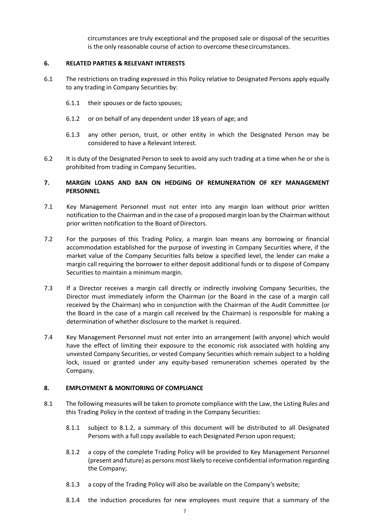circumstances are truly exceptional and the proposed sale or disposal of the securities is the only reasonable course of action to overcome thesecircumstances.

### **6. RELATED PARTIES & RELEVANT INTERESTS**

- 6.1 The restrictions on trading expressed in this Policy relative to Designated Persons apply equally to any trading in Company Securities by:
	- 6.1.1 their spouses or de facto spouses;
	- 6.1.2 or on behalf of any dependent under 18 years of age; and
	- 6.1.3 any other person, trust, or other entity in which the Designated Person may be considered to have a Relevant Interest.
- 6.2 It is duty of the Designated Person to seek to avoid any such trading at a time when he or she is prohibited from trading in Company Securities.

### **7. MARGIN LOANS AND BAN ON HEDGING OF REMUNERATION OF KEY MANAGEMENT PERSONNEL**

- 7.1 Key Management Personnel must not enter into any margin loan without prior written notification to the Chairman and in the case of a proposed margin loan by the Chairman without prior written notification to the Board of Directors.
- 7.2 For the purposes of this Trading Policy, a margin loan means any borrowing or financial accommodation established for the purpose of investing in Company Securities where, if the market value of the Company Securities falls below a specified level, the lender can make a margin call requiring the borrower to either deposit additional funds or to dispose of Company Securities to maintain a minimum margin.
- 7.3 If a Director receives a margin call directly or indirectly involving Company Securities, the Director must immediately inform the Chairman (or the Board in the case of a margin call received by the Chairman) who in conjunction with the Chairman of the Audit Committee (or the Board in the case of a margin call received by the Chairman) is responsible for making a determination of whether disclosure to the market is required.
- 7.4 Key Management Personnel must not enter into an arrangement (with anyone) which would have the effect of limiting their exposure to the economic risk associated with holding any unvested Company Securities, or vested Company Securities which remain subject to a holding lock, issued or granted under any equity-based remuneration schemes operated by the Company.

### **8. EMPLOYMENT & MONITORING OF COMPLIANCE**

- 8.1 The following measures will be taken to promote compliance with the Law, the Listing Rules and this Trading Policy in the context of trading in the Company Securities:
	- 8.1.1 subject to 8.1.2, a summary of this document will be distributed to all Designated Persons with a full copy available to each Designated Person upon request;
	- 8.1.2 a copy of the complete Trading Policy will be provided to Key Management Personnel (present and future) as persons most likely to receive confidential information regarding the Company;
	- 8.1.3 a copy of the Trading Policy will also be available on the Company's website;
	- 8.1.4 the induction procedures for new employees must require that a summary of the